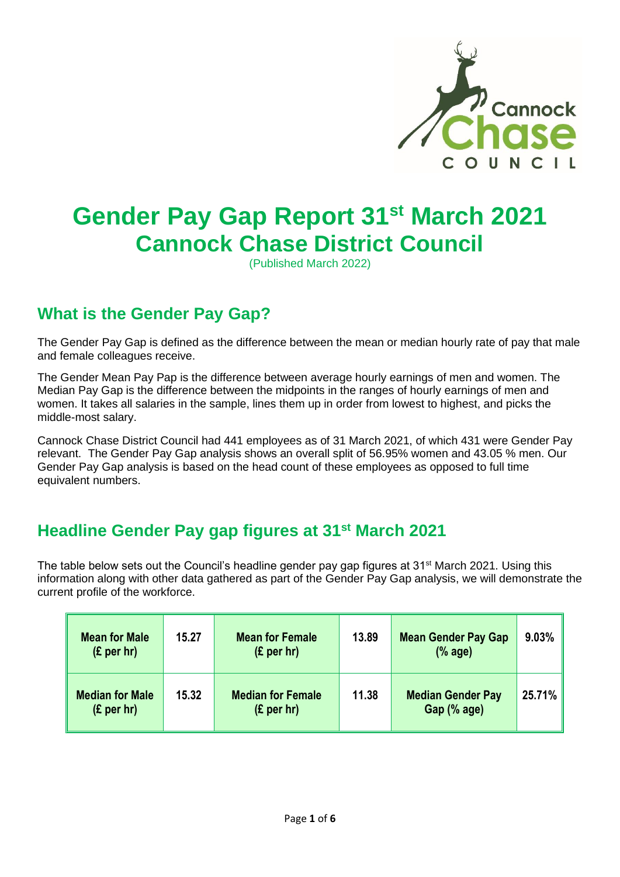

# **Gender Pay Gap Report 31st March 2021 Cannock Chase District Council**

(Published March 2022)

## **What is the Gender Pay Gap?**

 The Gender Pay Gap is defined as the difference between the mean or median hourly rate of pay that male and female colleagues receive.

 The Gender Mean Pay Pap is the difference between average hourly earnings of men and women. The Median Pay Gap is the difference between the midpoints in the ranges of hourly earnings of men and women. It takes all salaries in the sample, lines them up in order from lowest to highest, and picks the middle-most salary.

 Cannock Chase District Council had 441 employees as of 31 March 2021, of which 431 were Gender Pay relevant. The Gender Pay Gap analysis shows an overall split of 56.95% women and 43.05 % men. Our Gender Pay Gap analysis is based on the head count of these employees as opposed to full time equivalent numbers.

### **Headline Gender Pay gap figures at 31st March 2021**

The table below sets out the Council's headline gender pay gap figures at 31<sup>st</sup> March 2021. Using this information along with other data gathered as part of the Gender Pay Gap analysis, we will demonstrate the current profile of the workforce.

| <b>Mean for Male</b><br>(E per hr)   | 15.27 | <b>Mean for Female</b><br>(E per hr)   | 13.89 | <b>Mean Gender Pay Gap</b><br>% age)    | $9.03\%$ |
|--------------------------------------|-------|----------------------------------------|-------|-----------------------------------------|----------|
| <b>Median for Male</b><br>(E per hr) | 15.32 | <b>Median for Female</b><br>(E per hr) | 11.38 | <b>Median Gender Pay</b><br>Gap (% age) | 25.71%   |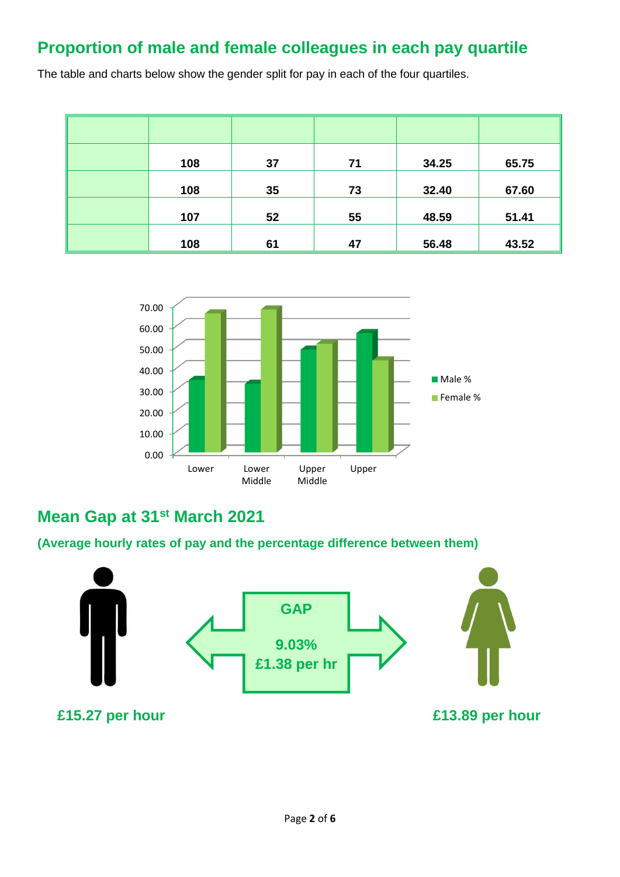## **Proportion of male and female colleagues in each pay quartile**

The table and charts below show the gender split for pay in each of the four quartiles.

| 108 | 37 | 71 | 34.25 | 65.75 |
|-----|----|----|-------|-------|
| 108 | 35 | 73 | 32.40 | 67.60 |
| 107 | 52 | 55 | 48.59 | 51.41 |
| 108 | 61 | 47 | 56.48 | 43.52 |



### **Mean Gap at 31st March 2021**

**(Average hourly rates of pay and the percentage difference between them)** 

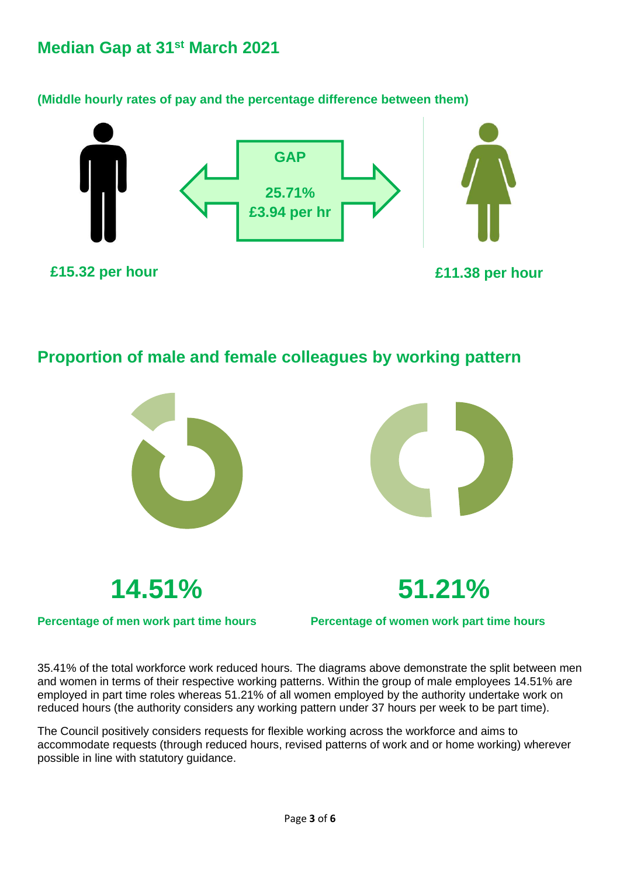#### **Median Gap at 31st March 2021**

**(Middle hourly rates of pay and the percentage difference between them)** 



 **Proportion of male and female colleagues by working pattern** 



 35.41% of the total workforce work reduced hours. The diagrams above demonstrate the split between men and women in terms of their respective working patterns. Within the group of male employees 14.51% are employed in part time roles whereas 51.21% of all women employed by the authority undertake work on reduced hours (the authority considers any working pattern under 37 hours per week to be part time).

 The Council positively considers requests for flexible working across the workforce and aims to accommodate requests (through reduced hours, revised patterns of work and or home working) wherever possible in line with statutory guidance.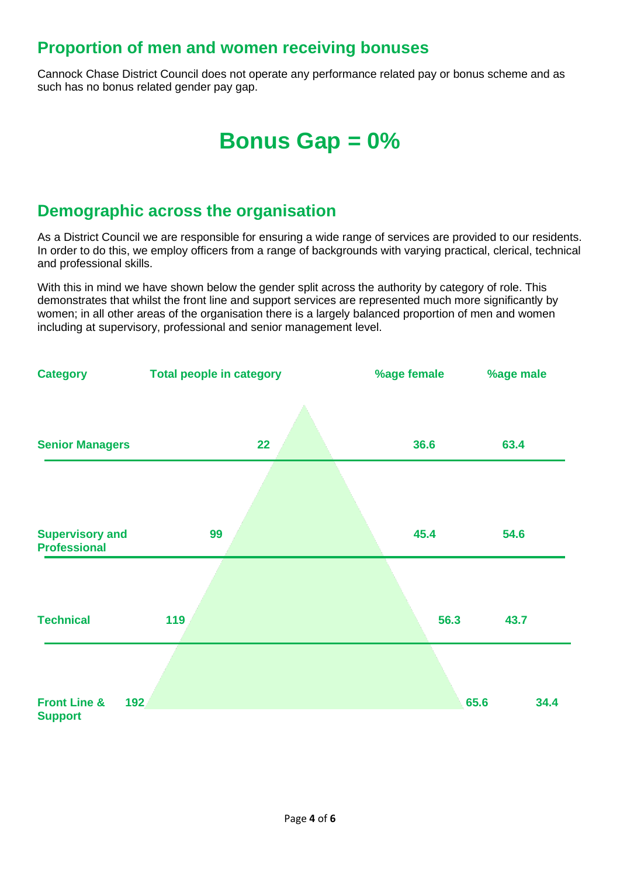### **Proportion of men and women receiving bonuses**

Cannock Chase District Council does not operate any performance related pay or bonus scheme and as such has no bonus related gender pay gap.

## **Bonus Gap = 0%**

#### **Demographic across the organisation**

As a District Council we are responsible for ensuring a wide range of services are provided to our residents. In order to do this, we employ officers from a range of backgrounds with varying practical, clerical, technical and professional skills.

With this in mind we have shown below the gender split across the authority by category of role. This demonstrates that whilst the front line and support services are represented much more significantly by women; in all other areas of the organisation there is a largely balanced proportion of men and women including at supervisory, professional and senior management level.

| <b>Category</b>                                  | <b>Total people in category</b> | %age female | %age male    |
|--------------------------------------------------|---------------------------------|-------------|--------------|
|                                                  |                                 |             |              |
| <b>Senior Managers</b>                           | 22                              | 36.6        | 63.4         |
|                                                  |                                 |             |              |
| <b>Supervisory and</b><br><b>Professional</b>    | 99                              | 45.4        | 54.6         |
|                                                  |                                 |             |              |
| <b>Technical</b>                                 | 119                             | 56.3        | 43.7         |
|                                                  |                                 |             |              |
| <b>Front Line &amp;</b><br>192<br><b>Support</b> |                                 |             | 65.6<br>34.4 |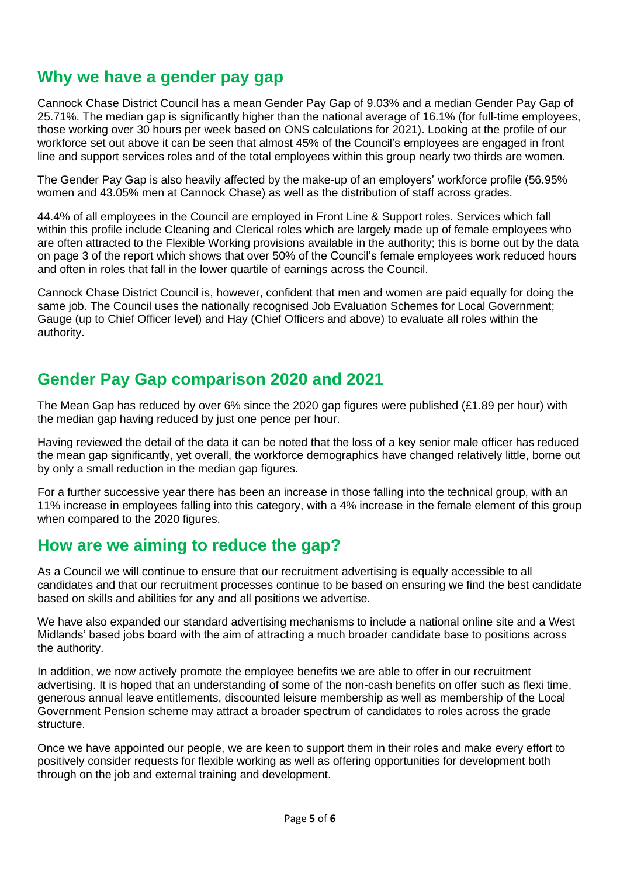#### **Why we have a gender pay gap**

 Cannock Chase District Council has a mean Gender Pay Gap of 9.03% and a median Gender Pay Gap of 25.71%. The median gap is significantly higher than the national average of 16.1% (for full-time employees, those working over 30 hours per week based on ONS calculations for 2021). Looking at the profile of our workforce set out above it can be seen that almost 45% of the Council's employees are engaged in front line and support services roles and of the total employees within this group nearly two thirds are women.

 The Gender Pay Gap is also heavily affected by the make-up of an employers' workforce profile (56.95% women and 43.05% men at Cannock Chase) as well as the distribution of staff across grades.

 44.4% of all employees in the Council are employed in Front Line & Support roles. Services which fall within this profile include Cleaning and Clerical roles which are largely made up of female employees who are often attracted to the Flexible Working provisions available in the authority; this is borne out by the data on page 3 of the report which shows that over 50% of the Council's female employees work reduced hours and often in roles that fall in the lower quartile of earnings across the Council.

 Cannock Chase District Council is, however, confident that men and women are paid equally for doing the same job. The Council uses the nationally recognised Job Evaluation Schemes for Local Government; Gauge (up to Chief Officer level) and Hay (Chief Officers and above) to evaluate all roles within the authority.

#### **Gender Pay Gap comparison 2020 and 2021**

 The Mean Gap has reduced by over 6% since the 2020 gap figures were published (£1.89 per hour) with the median gap having reduced by just one pence per hour.

 Having reviewed the detail of the data it can be noted that the loss of a key senior male officer has reduced the mean gap significantly, yet overall, the workforce demographics have changed relatively little, borne out by only a small reduction in the median gap figures.

 For a further successive year there has been an increase in those falling into the technical group, with an 11% increase in employees falling into this category, with a 4% increase in the female element of this group when compared to the 2020 figures.

#### **How are we aiming to reduce the gap?**

 As a Council we will continue to ensure that our recruitment advertising is equally accessible to all candidates and that our recruitment processes continue to be based on ensuring we find the best candidate based on skills and abilities for any and all positions we advertise.

 We have also expanded our standard advertising mechanisms to include a national online site and a West Midlands' based jobs board with the aim of attracting a much broader candidate base to positions across the authority.

 In addition, we now actively promote the employee benefits we are able to offer in our recruitment advertising. It is hoped that an understanding of some of the non-cash benefits on offer such as flexi time, generous annual leave entitlements, discounted leisure membership as well as membership of the Local Government Pension scheme may attract a broader spectrum of candidates to roles across the grade structure.

 Once we have appointed our people, we are keen to support them in their roles and make every effort to positively consider requests for flexible working as well as offering opportunities for development both through on the job and external training and development.